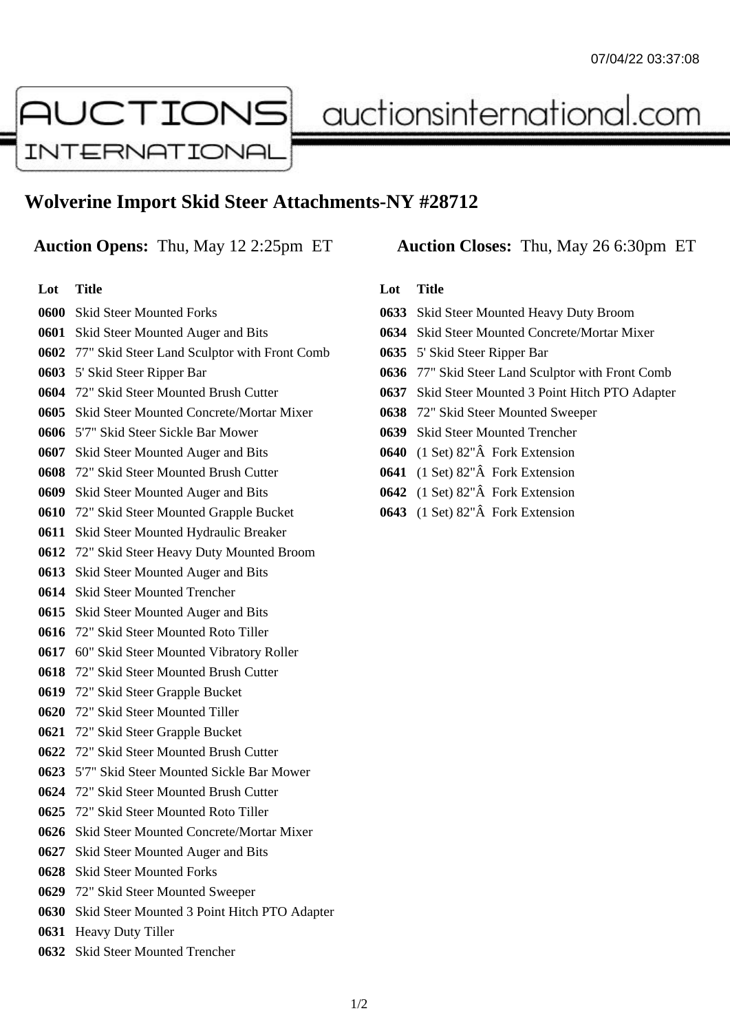# AUCTIONS **INTERNATIONAL**

auctionsinternational.com

## **Wolverine Import Skid Steer Attachments-NY #28712**

### **Auction Opens:** Thu, May 12 2:25pm ET **Auction Closes:** Thu, May 26 6:30pm ET

**Lot Title** Skid Steer Mounted Forks Skid Steer Mounted Auger and Bits 77" Skid Steer Land Sculptor with Front Comb 5' Skid Steer Ripper Bar 72" Skid Steer Mounted Brush Cutter Skid Steer Mounted Concrete/Mortar Mixer 5'7" Skid Steer Sickle Bar Mower Skid Steer Mounted Auger and Bits 72" Skid Steer Mounted Brush Cutter Skid Steer Mounted Auger and Bits 72" Skid Steer Mounted Grapple Bucket Skid Steer Mounted Hydraulic Breaker 72" Skid Steer Heavy Duty Mounted Broom Skid Steer Mounted Auger and Bits Skid Steer Mounted Trencher Skid Steer Mounted Auger and Bits 72" Skid Steer Mounted Roto Tiller 60" Skid Steer Mounted Vibratory Roller 72" Skid Steer Mounted Brush Cutter 72" Skid Steer Grapple Bucket 72" Skid Steer Mounted Tiller 72" Skid Steer Grapple Bucket 72" Skid Steer Mounted Brush Cutter 5'7" Skid Steer Mounted Sickle Bar Mower 72" Skid Steer Mounted Brush Cutter 72" Skid Steer Mounted Roto Tiller Skid Steer Mounted Concrete/Mortar Mixer Skid Steer Mounted Auger and Bits Skid Steer Mounted Forks 72" Skid Steer Mounted Sweeper Skid Steer Mounted 3 Point Hitch PTO Adapter Heavy Duty Tiller

Skid Steer Mounted Trencher

#### **Lot Title**

- Skid Steer Mounted Heavy Duty Broom
- Skid Steer Mounted Concrete/Mortar Mixer
- 5' Skid Steer Ripper Bar
- 77" Skid Steer Land Sculptor with Front Comb
- Skid Steer Mounted 3 Point Hitch PTO Adapter
- 72" Skid Steer Mounted Sweeper
- Skid Steer Mounted Trencher
- (1 Set) 82"Â Fork Extension
- (1 Set) 82"Â Fork Extension
- (1 Set) 82"Â Fork Extension
- (1 Set) 82"Â Fork Extension